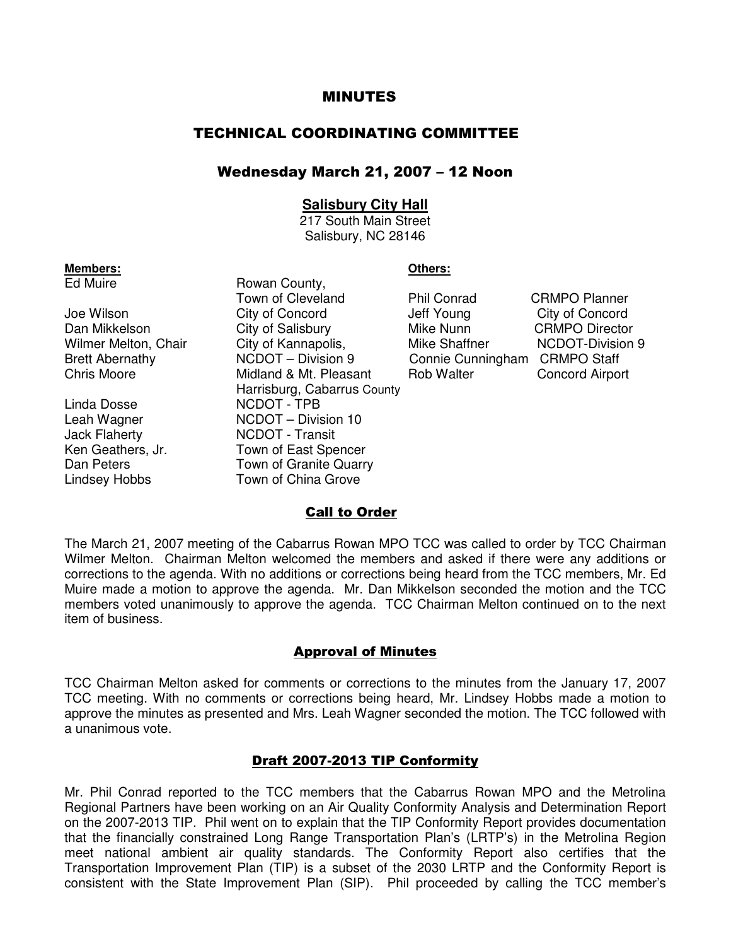### MINUTES

# TECHNICAL COORDINATING COMMITTEE

## Wednesday March 21, 2007 – 12 Noon

## **Salisbury City Hall**

217 South Main Street Salisbury, NC 28146

Linda Dosse NCDOT - TPB

**Members: Others: Calculate Ed Muire Countiliant County. Calculate County. Calculate County. Calculate County.** Rowan County, Town of Cleveland Phil Conrad CRMPO Planner Joe Wilson City of Concord Jeff Young City of Concord Dan Mikkelson City of Salisbury Mike Nunn CRMPO Director Wilmer Melton, Chair City of Kannapolis, The Mike Shaffner NCDOT-Division 9 Brett Abernathy **NCDOT** – Division 9 Connie Cunningham CRMPO Staff<br>Chris Moore **Connie Connie Connie Connie Connie Connie Connie Connie Connie Connie Connie Connie Connie Connie Connie Connie Connie Connie Connie Connie Co** Midland & Mt. Pleasant Rob Walter Concord Airport Harrisburg, Cabarrus County Leah Wagner NCDOT – Division 10 Jack Flaherty NCDOT - Transit Ken Geathers, Jr. Town of East Spencer Dan Peters **Town of Granite Quarry** Lindsey Hobbs Town of China Grove

| <b>Phil Conrad</b> |
|--------------------|
| Jeff Young         |
| Mike Nunn          |
| Mike Shaffner      |
| Connie Cunningham  |
| <b>Rob Walter</b>  |

## **Call to Order**

The March 21, 2007 meeting of the Cabarrus Rowan MPO TCC was called to order by TCC Chairman Wilmer Melton. Chairman Melton welcomed the members and asked if there were any additions or corrections to the agenda. With no additions or corrections being heard from the TCC members, Mr. Ed Muire made a motion to approve the agenda. Mr. Dan Mikkelson seconded the motion and the TCC members voted unanimously to approve the agenda. TCC Chairman Melton continued on to the next item of business.

#### Approval of Minutes

TCC Chairman Melton asked for comments or corrections to the minutes from the January 17, 2007 TCC meeting. With no comments or corrections being heard, Mr. Lindsey Hobbs made a motion to approve the minutes as presented and Mrs. Leah Wagner seconded the motion. The TCC followed with a unanimous vote.

#### Draft 2007-2013 TIP Conformity

Mr. Phil Conrad reported to the TCC members that the Cabarrus Rowan MPO and the Metrolina Regional Partners have been working on an Air Quality Conformity Analysis and Determination Report on the 2007-2013 TIP. Phil went on to explain that the TIP Conformity Report provides documentation that the financially constrained Long Range Transportation Plan's (LRTP's) in the Metrolina Region meet national ambient air quality standards. The Conformity Report also certifies that the Transportation Improvement Plan (TIP) is a subset of the 2030 LRTP and the Conformity Report is consistent with the State Improvement Plan (SIP). Phil proceeded by calling the TCC member's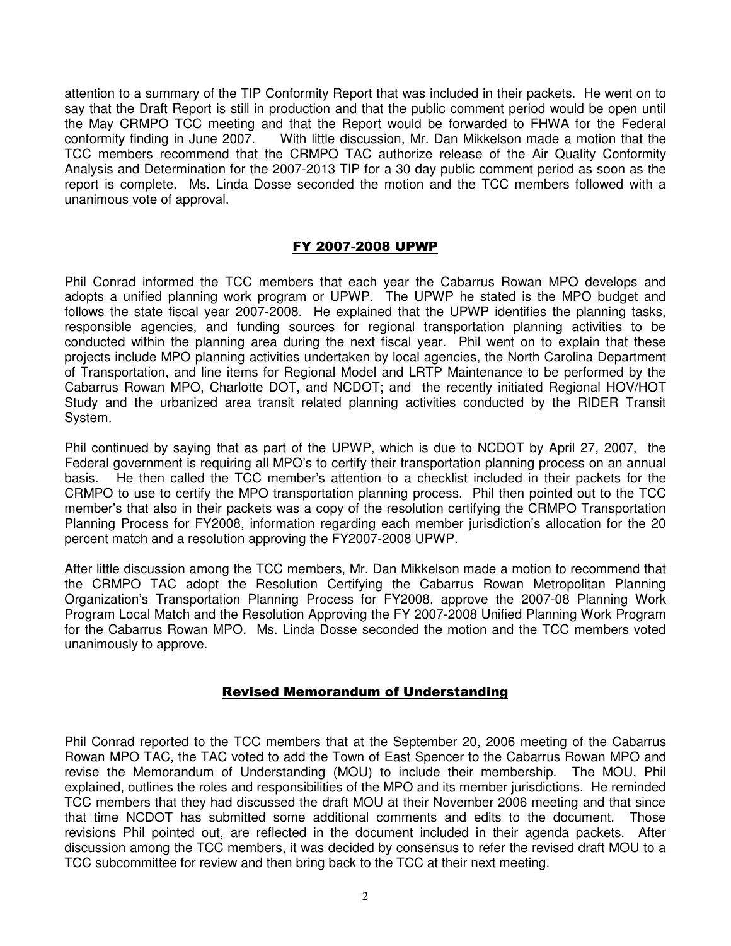attention to a summary of the TIP Conformity Report that was included in their packets. He went on to say that the Draft Report is still in production and that the public comment period would be open until the May CRMPO TCC meeting and that the Report would be forwarded to FHWA for the Federal conformity finding in June 2007. With little discussion, Mr. Dan Mikkelson made a motion that the TCC members recommend that the CRMPO TAC authorize release of the Air Quality Conformity Analysis and Determination for the 2007-2013 TIP for a 30 day public comment period as soon as the report is complete. Ms. Linda Dosse seconded the motion and the TCC members followed with a unanimous vote of approval.

# FY 2007-2008 UPWP

Phil Conrad informed the TCC members that each year the Cabarrus Rowan MPO develops and adopts a unified planning work program or UPWP. The UPWP he stated is the MPO budget and follows the state fiscal year 2007-2008. He explained that the UPWP identifies the planning tasks, responsible agencies, and funding sources for regional transportation planning activities to be conducted within the planning area during the next fiscal year. Phil went on to explain that these projects include MPO planning activities undertaken by local agencies, the North Carolina Department of Transportation, and line items for Regional Model and LRTP Maintenance to be performed by the Cabarrus Rowan MPO, Charlotte DOT, and NCDOT; and the recently initiated Regional HOV/HOT Study and the urbanized area transit related planning activities conducted by the RIDER Transit System.

Phil continued by saying that as part of the UPWP, which is due to NCDOT by April 27, 2007, the Federal government is requiring all MPO's to certify their transportation planning process on an annual basis. He then called the TCC member's attention to a checklist included in their packets for the CRMPO to use to certify the MPO transportation planning process. Phil then pointed out to the TCC member's that also in their packets was a copy of the resolution certifying the CRMPO Transportation Planning Process for FY2008, information regarding each member jurisdiction's allocation for the 20 percent match and a resolution approving the FY2007-2008 UPWP.

After little discussion among the TCC members, Mr. Dan Mikkelson made a motion to recommend that the CRMPO TAC adopt the Resolution Certifying the Cabarrus Rowan Metropolitan Planning Organization's Transportation Planning Process for FY2008, approve the 2007-08 Planning Work Program Local Match and the Resolution Approving the FY 2007-2008 Unified Planning Work Program for the Cabarrus Rowan MPO. Ms. Linda Dosse seconded the motion and the TCC members voted unanimously to approve.

# Revised Memorandum of Understanding

Phil Conrad reported to the TCC members that at the September 20, 2006 meeting of the Cabarrus Rowan MPO TAC, the TAC voted to add the Town of East Spencer to the Cabarrus Rowan MPO and revise the Memorandum of Understanding (MOU) to include their membership. The MOU, Phil explained, outlines the roles and responsibilities of the MPO and its member jurisdictions. He reminded TCC members that they had discussed the draft MOU at their November 2006 meeting and that since that time NCDOT has submitted some additional comments and edits to the document. Those revisions Phil pointed out, are reflected in the document included in their agenda packets. After discussion among the TCC members, it was decided by consensus to refer the revised draft MOU to a TCC subcommittee for review and then bring back to the TCC at their next meeting.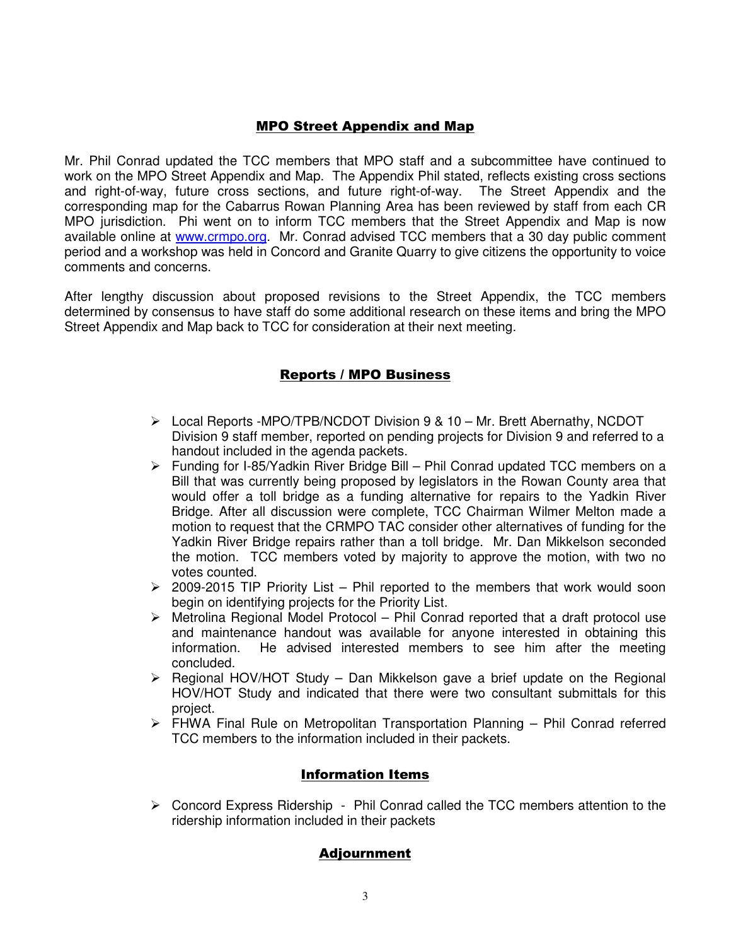# MPO Street Appendix and Map

Mr. Phil Conrad updated the TCC members that MPO staff and a subcommittee have continued to work on the MPO Street Appendix and Map. The Appendix Phil stated, reflects existing cross sections and right-of-way, future cross sections, and future right-of-way. The Street Appendix and the corresponding map for the Cabarrus Rowan Planning Area has been reviewed by staff from each CR MPO jurisdiction. Phi went on to inform TCC members that the Street Appendix and Map is now available online at www.crmpo.org. Mr. Conrad advised TCC members that a 30 day public comment period and a workshop was held in Concord and Granite Quarry to give citizens the opportunity to voice comments and concerns.

After lengthy discussion about proposed revisions to the Street Appendix, the TCC members determined by consensus to have staff do some additional research on these items and bring the MPO Street Appendix and Map back to TCC for consideration at their next meeting.

# Reports / MPO Business

- Local Reports -MPO/TPB/NCDOT Division 9 & 10 Mr. Brett Abernathy, NCDOT Division 9 staff member, reported on pending projects for Division 9 and referred to a handout included in the agenda packets.
- Funding for I-85/Yadkin River Bridge Bill Phil Conrad updated TCC members on a Bill that was currently being proposed by legislators in the Rowan County area that would offer a toll bridge as a funding alternative for repairs to the Yadkin River Bridge. After all discussion were complete, TCC Chairman Wilmer Melton made a motion to request that the CRMPO TAC consider other alternatives of funding for the Yadkin River Bridge repairs rather than a toll bridge. Mr. Dan Mikkelson seconded the motion. TCC members voted by majority to approve the motion, with two no votes counted.
- $\geq$  2009-2015 TIP Priority List Phil reported to the members that work would soon begin on identifying projects for the Priority List.
- $\triangleright$  Metrolina Regional Model Protocol Phil Conrad reported that a draft protocol use and maintenance handout was available for anyone interested in obtaining this information. He advised interested members to see him after the meeting concluded.
- $\triangleright$  Regional HOV/HOT Study Dan Mikkelson gave a brief update on the Regional HOV/HOT Study and indicated that there were two consultant submittals for this project.
- FHWA Final Rule on Metropolitan Transportation Planning Phil Conrad referred TCC members to the information included in their packets.

# Information Items

 $\triangleright$  Concord Express Ridership - Phil Conrad called the TCC members attention to the ridership information included in their packets

# Adjournment